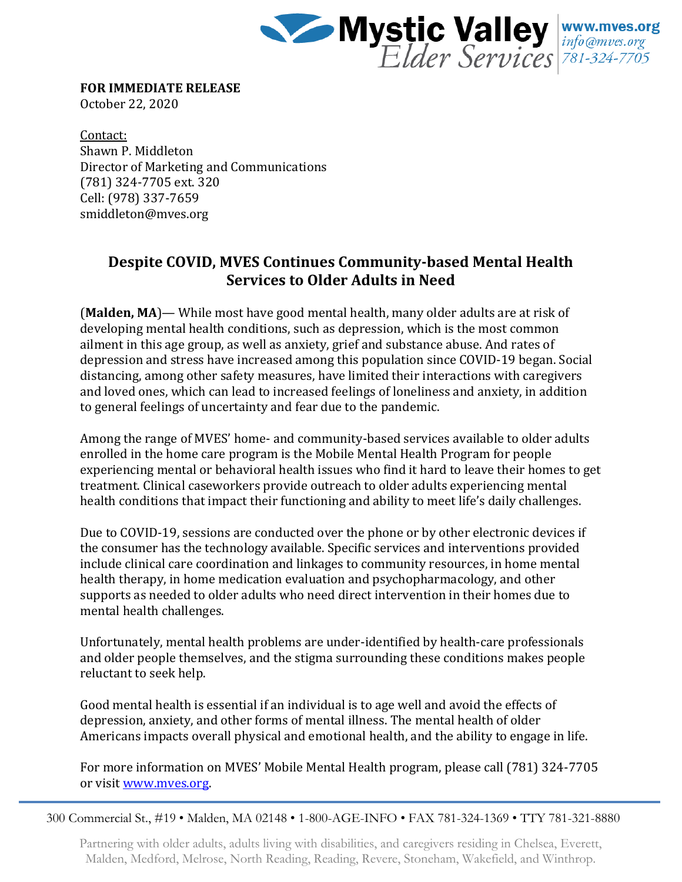

**FOR IMMEDIATE RELEASE** October 22, 2020

Contact: Shawn P. Middleton Director of Marketing and Communications (781) 324-7705 ext. 320 Cell: (978) 337-7659 smiddleton@mves.org

## **Despite COVID, MVES Continues Community-based Mental Health Services to Older Adults in Need**

(**Malden, MA**)— While most have good mental health, many older adults are at risk of developing mental health conditions, such as depression, which is the most common ailment in this age group, as well as anxiety, grief and substance abuse. And rates of depression and stress have increased among this population since COVID-19 began. Social distancing, among other safety measures, have limited their interactions with caregivers and loved ones, which can lead to increased feelings of loneliness and anxiety, in addition to general feelings of uncertainty and fear due to the pandemic.

Among the range of MVES' home- and community-based services available to older adults enrolled in the home care program is the Mobile Mental Health Program for people experiencing mental or behavioral health issues who find it hard to leave their homes to get treatment. Clinical caseworkers provide outreach to older adults experiencing mental health conditions that impact their functioning and ability to meet life's daily challenges.

Due to COVID-19, sessions are conducted over the phone or by other electronic devices if the consumer has the technology available. Specific services and interventions provided include clinical care coordination and linkages to community resources, in home mental health therapy, in home medication evaluation and psychopharmacology, and other supports as needed to older adults who need direct intervention in their homes due to mental health challenges.

Unfortunately, mental health problems are under-identified by health-care professionals and older people themselves, and the stigma surrounding these conditions makes people reluctant to seek help.

Good mental health is essential if an individual is to age well and avoid the effects of depression, anxiety, and other forms of mental illness. The mental health of older Americans impacts overall physical and emotional health, and the ability to engage in life.

For more information on MVES' Mobile Mental Health program, please call (781) 324-7705 or visit [www.mves.org.](http://www.mves.org/)

300 Commercial St., #19 • Malden, MA 02148 • 1-800-AGE-INFO • FAX 781-324-1369 • TTY 781-321-8880

Partnering with older adults, adults living with disabilities, and caregivers residing in Chelsea, Everett, Malden, Medford, Melrose, North Reading, Reading, Revere, Stoneham, Wakefield, and Winthrop.